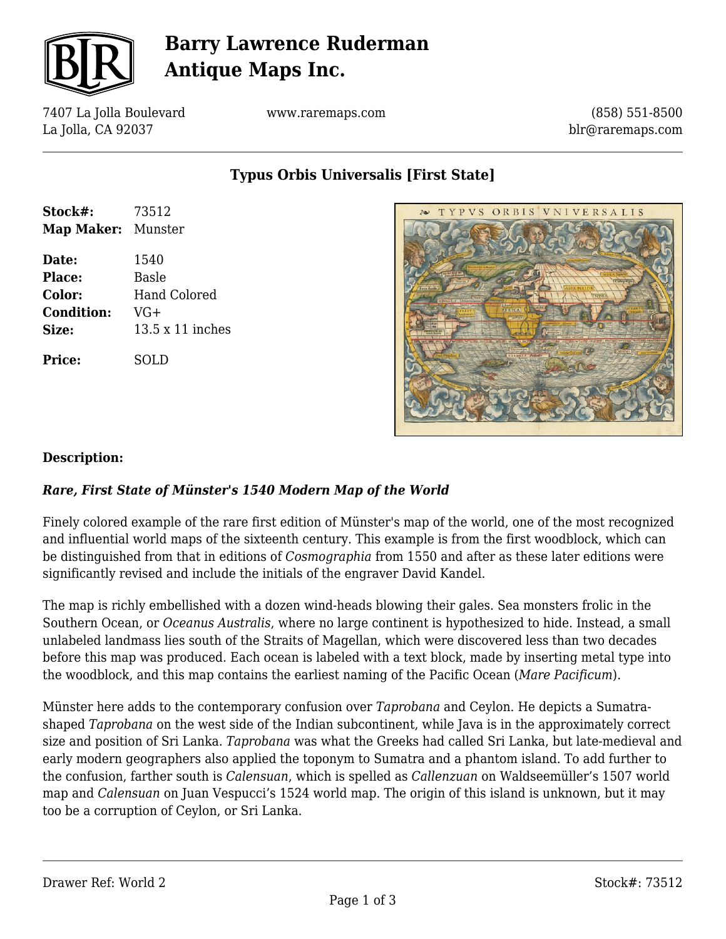

# **Barry Lawrence Ruderman Antique Maps Inc.**

7407 La Jolla Boulevard La Jolla, CA 92037

www.raremaps.com

(858) 551-8500 blr@raremaps.com

**Typus Orbis Universalis [First State]**

| Stock#:            | 73512            |
|--------------------|------------------|
| Map Maker: Munster |                  |
| Date:              | 1540             |
| Place:             | Basle            |
| Color:             | Hand Colored     |
| <b>Condition:</b>  | $VG+$            |
| Size:              | 13.5 x 11 inches |
| Price:             | SOLD             |



## **Description:**

## *Rare, First State of Münster's 1540 Modern Map of the World*

Finely colored example of the rare first edition of Münster's map of the world, one of the most recognized and influential world maps of the sixteenth century. This example is from the first woodblock, which can be distinguished from that in editions of *Cosmographia* from 1550 and after as these later editions were significantly revised and include the initials of the engraver David Kandel.

The map is richly embellished with a dozen wind-heads blowing their gales. Sea monsters frolic in the Southern Ocean, or *Oceanus Australis*, where no large continent is hypothesized to hide. Instead, a small unlabeled landmass lies south of the Straits of Magellan, which were discovered less than two decades before this map was produced. Each ocean is labeled with a text block, made by inserting metal type into the woodblock, and this map contains the earliest naming of the Pacific Ocean (*Mare Pacificum*).

Münster here adds to the contemporary confusion over *Taprobana* and Ceylon. He depicts a Sumatrashaped *Taprobana* on the west side of the Indian subcontinent, while Java is in the approximately correct size and position of Sri Lanka. *Taprobana* was what the Greeks had called Sri Lanka, but late-medieval and early modern geographers also applied the toponym to Sumatra and a phantom island. To add further to the confusion, farther south is *Calensuan*, which is spelled as *Callenzuan* on Waldseemüller's 1507 world map and *Calensuan* on Juan Vespucci's 1524 world map. The origin of this island is unknown, but it may too be a corruption of Ceylon, or Sri Lanka.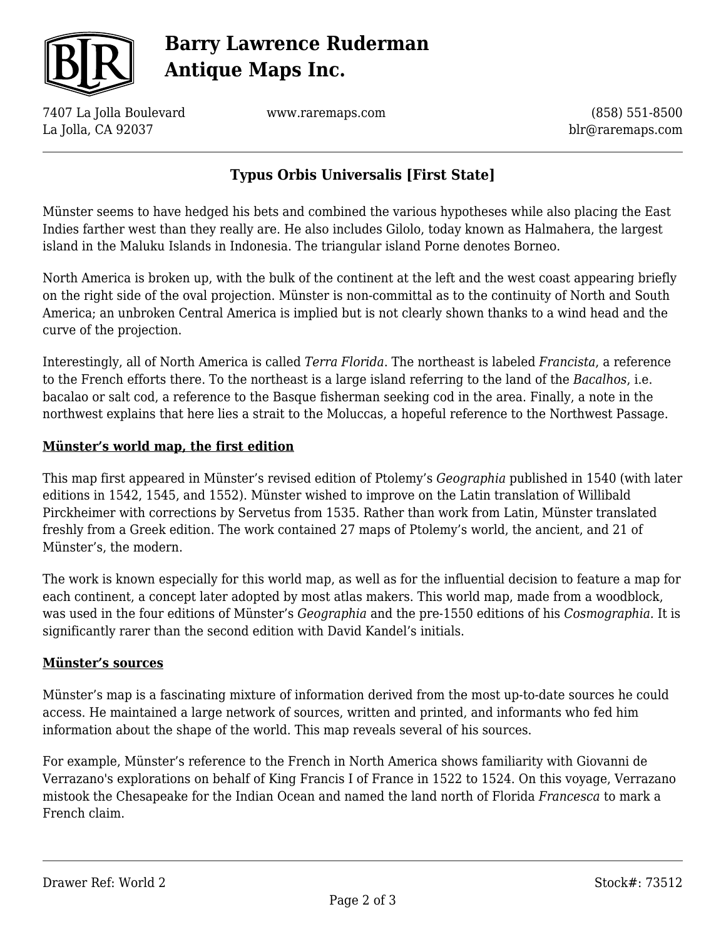

# **Barry Lawrence Ruderman Antique Maps Inc.**

7407 La Jolla Boulevard La Jolla, CA 92037

www.raremaps.com

(858) 551-8500 blr@raremaps.com

# **Typus Orbis Universalis [First State]**

Münster seems to have hedged his bets and combined the various hypotheses while also placing the East Indies farther west than they really are. He also includes Gilolo, today known as Halmahera, the largest island in the Maluku Islands in Indonesia. The triangular island Porne denotes Borneo.

North America is broken up, with the bulk of the continent at the left and the west coast appearing briefly on the right side of the oval projection. Münster is non-committal as to the continuity of North and South America; an unbroken Central America is implied but is not clearly shown thanks to a wind head and the curve of the projection.

Interestingly, all of North America is called *Terra Florida*. The northeast is labeled *Francista*, a reference to the French efforts there. To the northeast is a large island referring to the land of the *Bacalhos*, i.e. bacalao or salt cod, a reference to the Basque fisherman seeking cod in the area. Finally, a note in the northwest explains that here lies a strait to the Moluccas, a hopeful reference to the Northwest Passage.

#### **Münster's world map, the first edition**

This map first appeared in Münster's revised edition of Ptolemy's *Geographia* published in 1540 (with later editions in 1542, 1545, and 1552). Münster wished to improve on the Latin translation of Willibald Pirckheimer with corrections by Servetus from 1535. Rather than work from Latin, Münster translated freshly from a Greek edition. The work contained 27 maps of Ptolemy's world, the ancient, and 21 of Münster's, the modern.

The work is known especially for this world map, as well as for the influential decision to feature a map for each continent, a concept later adopted by most atlas makers. This world map, made from a woodblock, was used in the four editions of Münster's *Geographia* and the pre-1550 editions of his *Cosmographia.* It is significantly rarer than the second edition with David Kandel's initials.

#### **Münster's sources**

Münster's map is a fascinating mixture of information derived from the most up-to-date sources he could access. He maintained a large network of sources, written and printed, and informants who fed him information about the shape of the world. This map reveals several of his sources.

For example, Münster's reference to the French in North America shows familiarity with Giovanni de Verrazano's explorations on behalf of King Francis I of France in 1522 to 1524. On this voyage, Verrazano mistook the Chesapeake for the Indian Ocean and named the land north of Florida *Francesca* to mark a French claim.